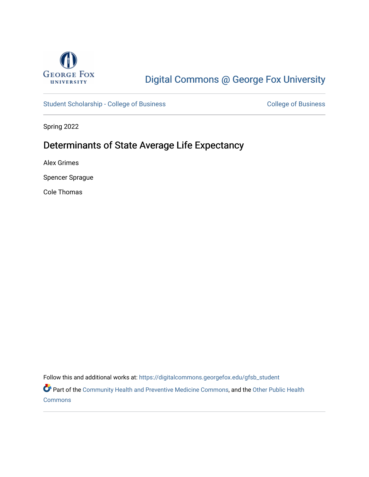

# [Digital Commons @ George Fox University](https://digitalcommons.georgefox.edu/)

[Student Scholarship - College of Business](https://digitalcommons.georgefox.edu/gfsb_student) [College of Business](https://digitalcommons.georgefox.edu/business) College of Business

Spring 2022

# Determinants of State Average Life Expectancy

Alex Grimes

Spencer Sprague

Cole Thomas

Follow this and additional works at: [https://digitalcommons.georgefox.edu/gfsb\\_student](https://digitalcommons.georgefox.edu/gfsb_student?utm_source=digitalcommons.georgefox.edu%2Fgfsb_student%2F20&utm_medium=PDF&utm_campaign=PDFCoverPages) 

Part of the [Community Health and Preventive Medicine Commons](https://network.bepress.com/hgg/discipline/744?utm_source=digitalcommons.georgefox.edu%2Fgfsb_student%2F20&utm_medium=PDF&utm_campaign=PDFCoverPages), and the [Other Public Health](https://network.bepress.com/hgg/discipline/748?utm_source=digitalcommons.georgefox.edu%2Fgfsb_student%2F20&utm_medium=PDF&utm_campaign=PDFCoverPages) **[Commons](https://network.bepress.com/hgg/discipline/748?utm_source=digitalcommons.georgefox.edu%2Fgfsb_student%2F20&utm_medium=PDF&utm_campaign=PDFCoverPages)**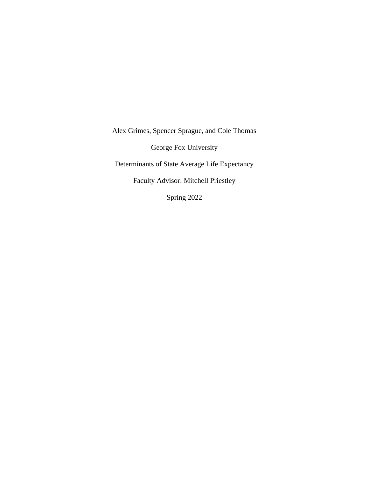Alex Grimes, Spencer Sprague, and Cole Thomas George Fox University Determinants of State Average Life Expectancy Faculty Advisor: Mitchell Priestley Spring 2022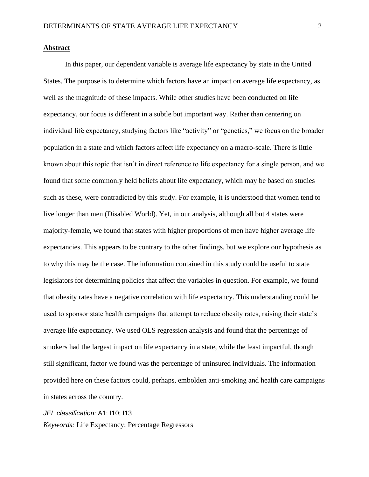#### **Abstract**

In this paper, our dependent variable is average life expectancy by state in the United States. The purpose is to determine which factors have an impact on average life expectancy, as well as the magnitude of these impacts. While other studies have been conducted on life expectancy, our focus is different in a subtle but important way. Rather than centering on individual life expectancy, studying factors like "activity" or "genetics," we focus on the broader population in a state and which factors affect life expectancy on a macro-scale. There is little known about this topic that isn't in direct reference to life expectancy for a single person, and we found that some commonly held beliefs about life expectancy, which may be based on studies such as these, were contradicted by this study. For example, it is understood that women tend to live longer than men (Disabled World). Yet, in our analysis, although all but 4 states were majority-female, we found that states with higher proportions of men have higher average life expectancies. This appears to be contrary to the other findings, but we explore our hypothesis as to why this may be the case. The information contained in this study could be useful to state legislators for determining policies that affect the variables in question. For example, we found that obesity rates have a negative correlation with life expectancy. This understanding could be used to sponsor state health campaigns that attempt to reduce obesity rates, raising their state's average life expectancy. We used OLS regression analysis and found that the percentage of smokers had the largest impact on life expectancy in a state, while the least impactful, though still significant, factor we found was the percentage of uninsured individuals. The information provided here on these factors could, perhaps, embolden anti-smoking and health care campaigns in states across the country.

#### *JEL classification:* A1; I10; I13

*Keywords:* Life Expectancy; Percentage Regressors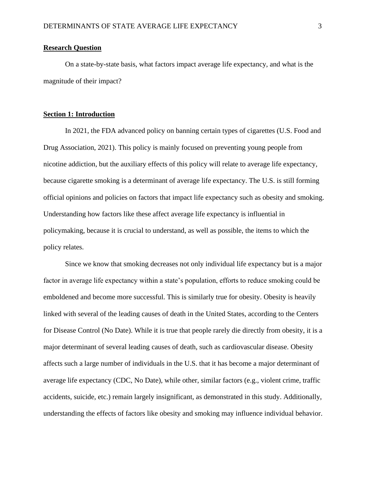#### **Research Question**

On a state-by-state basis, what factors impact average life expectancy, and what is the magnitude of their impact?

#### **Section 1: Introduction**

In 2021, the FDA advanced policy on banning certain types of cigarettes (U.S. Food and Drug Association, 2021). This policy is mainly focused on preventing young people from nicotine addiction, but the auxiliary effects of this policy will relate to average life expectancy, because cigarette smoking is a determinant of average life expectancy. The U.S. is still forming official opinions and policies on factors that impact life expectancy such as obesity and smoking. Understanding how factors like these affect average life expectancy is influential in policymaking, because it is crucial to understand, as well as possible, the items to which the policy relates.

Since we know that smoking decreases not only individual life expectancy but is a major factor in average life expectancy within a state's population, efforts to reduce smoking could be emboldened and become more successful. This is similarly true for obesity. Obesity is heavily linked with several of the leading causes of death in the United States, according to the Centers for Disease Control (No Date). While it is true that people rarely die directly from obesity, it is a major determinant of several leading causes of death, such as cardiovascular disease. Obesity affects such a large number of individuals in the U.S. that it has become a major determinant of average life expectancy (CDC, No Date), while other, similar factors (e.g., violent crime, traffic accidents, suicide, etc.) remain largely insignificant, as demonstrated in this study. Additionally, understanding the effects of factors like obesity and smoking may influence individual behavior.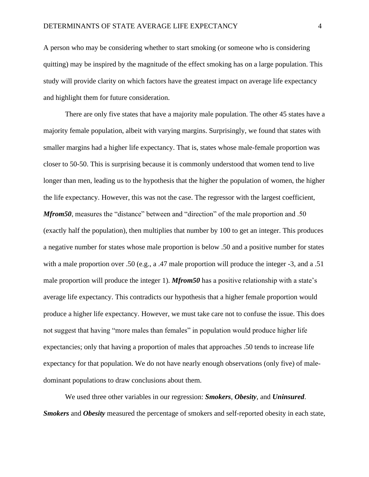A person who may be considering whether to start smoking (or someone who is considering quitting) may be inspired by the magnitude of the effect smoking has on a large population. This study will provide clarity on which factors have the greatest impact on average life expectancy and highlight them for future consideration.

There are only five states that have a majority male population. The other 45 states have a majority female population, albeit with varying margins. Surprisingly, we found that states with smaller margins had a higher life expectancy. That is, states whose male-female proportion was closer to 50-50. This is surprising because it is commonly understood that women tend to live longer than men, leading us to the hypothesis that the higher the population of women, the higher the life expectancy. However, this was not the case. The regressor with the largest coefficient, *Mfrom50*, measures the "distance" between and "direction" of the male proportion and .50 (exactly half the population), then multiplies that number by 100 to get an integer. This produces a negative number for states whose male proportion is below .50 and a positive number for states with a male proportion over .50 (e.g., a .47 male proportion will produce the integer -3, and a .51 male proportion will produce the integer 1). *Mfrom50* has a positive relationship with a state's average life expectancy. This contradicts our hypothesis that a higher female proportion would produce a higher life expectancy. However, we must take care not to confuse the issue. This does not suggest that having "more males than females" in population would produce higher life expectancies; only that having a proportion of males that approaches .50 tends to increase life expectancy for that population. We do not have nearly enough observations (only five) of maledominant populations to draw conclusions about them.

We used three other variables in our regression: *Smokers*, *Obesity*, and *Uninsured*. *Smokers* and *Obesity* measured the percentage of smokers and self-reported obesity in each state,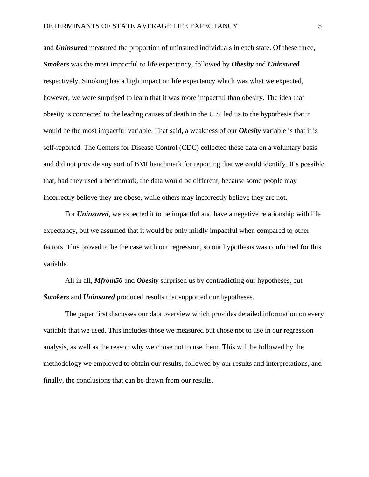and *Uninsured* measured the proportion of uninsured individuals in each state. Of these three, *Smokers* was the most impactful to life expectancy, followed by *Obesity* and *Uninsured* respectively. Smoking has a high impact on life expectancy which was what we expected, however, we were surprised to learn that it was more impactful than obesity. The idea that obesity is connected to the leading causes of death in the U.S. led us to the hypothesis that it would be the most impactful variable. That said, a weakness of our *Obesity* variable is that it is self-reported. The Centers for Disease Control (CDC) collected these data on a voluntary basis and did not provide any sort of BMI benchmark for reporting that we could identify. It's possible that, had they used a benchmark, the data would be different, because some people may incorrectly believe they are obese, while others may incorrectly believe they are not.

For *Uninsured*, we expected it to be impactful and have a negative relationship with life expectancy, but we assumed that it would be only mildly impactful when compared to other factors. This proved to be the case with our regression, so our hypothesis was confirmed for this variable.

All in all, *Mfrom50* and *Obesity* surprised us by contradicting our hypotheses, but *Smokers* and *Uninsured* produced results that supported our hypotheses.

The paper first discusses our data overview which provides detailed information on every variable that we used. This includes those we measured but chose not to use in our regression analysis, as well as the reason why we chose not to use them. This will be followed by the methodology we employed to obtain our results, followed by our results and interpretations, and finally, the conclusions that can be drawn from our results.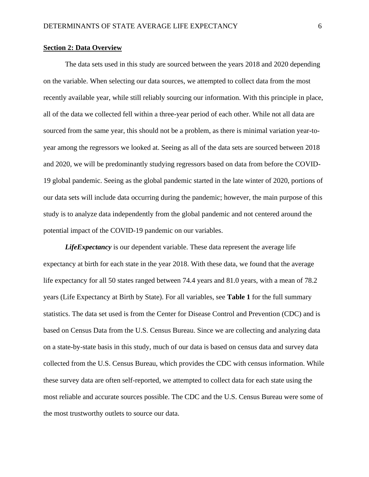#### **Section 2: Data Overview**

The data sets used in this study are sourced between the years 2018 and 2020 depending on the variable. When selecting our data sources, we attempted to collect data from the most recently available year, while still reliably sourcing our information. With this principle in place, all of the data we collected fell within a three-year period of each other. While not all data are sourced from the same year, this should not be a problem, as there is minimal variation year-toyear among the regressors we looked at. Seeing as all of the data sets are sourced between 2018 and 2020, we will be predominantly studying regressors based on data from before the COVID-19 global pandemic. Seeing as the global pandemic started in the late winter of 2020, portions of our data sets will include data occurring during the pandemic; however, the main purpose of this study is to analyze data independently from the global pandemic and not centered around the potential impact of the COVID-19 pandemic on our variables.

*LifeExpectancy* is our dependent variable. These data represent the average life expectancy at birth for each state in the year 2018. With these data, we found that the average life expectancy for all 50 states ranged between 74.4 years and 81.0 years, with a mean of 78.2 years (Life Expectancy at Birth by State). For all variables, see **Table 1** for the full summary statistics. The data set used is from the Center for Disease Control and Prevention (CDC) and is based on Census Data from the U.S. Census Bureau. Since we are collecting and analyzing data on a state-by-state basis in this study, much of our data is based on census data and survey data collected from the U.S. Census Bureau, which provides the CDC with census information. While these survey data are often self-reported, we attempted to collect data for each state using the most reliable and accurate sources possible. The CDC and the U.S. Census Bureau were some of the most trustworthy outlets to source our data.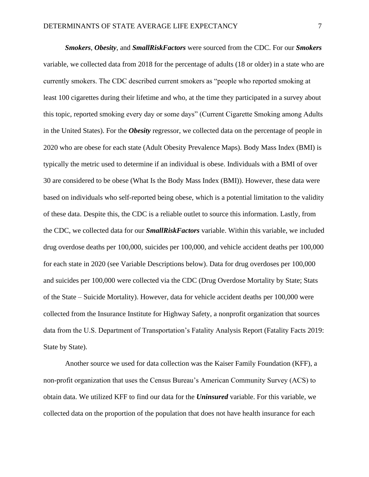*Smokers*, *Obesity*, and *SmallRiskFactors* were sourced from the CDC. For our *Smokers* variable, we collected data from 2018 for the percentage of adults (18 or older) in a state who are currently smokers. The CDC described current smokers as "people who reported smoking at least 100 cigarettes during their lifetime and who, at the time they participated in a survey about this topic, reported smoking every day or some days" (Current Cigarette Smoking among Adults in the United States). For the *Obesity* regressor, we collected data on the percentage of people in 2020 who are obese for each state (Adult Obesity Prevalence Maps). Body Mass Index (BMI) is typically the metric used to determine if an individual is obese. Individuals with a BMI of over 30 are considered to be obese (What Is the Body Mass Index (BMI)). However, these data were based on individuals who self-reported being obese, which is a potential limitation to the validity of these data. Despite this, the CDC is a reliable outlet to source this information. Lastly, from the CDC, we collected data for our *SmallRiskFactors* variable. Within this variable, we included drug overdose deaths per 100,000, suicides per 100,000, and vehicle accident deaths per 100,000 for each state in 2020 (see Variable Descriptions below). Data for drug overdoses per 100,000 and suicides per 100,000 were collected via the CDC (Drug Overdose Mortality by State; Stats of the State – Suicide Mortality). However, data for vehicle accident deaths per 100,000 were collected from the Insurance Institute for Highway Safety, a nonprofit organization that sources data from the U.S. Department of Transportation's Fatality Analysis Report (Fatality Facts 2019: State by State).

Another source we used for data collection was the Kaiser Family Foundation (KFF), a non-profit organization that uses the Census Bureau's American Community Survey (ACS) to obtain data. We utilized KFF to find our data for the *Uninsured* variable. For this variable, we collected data on the proportion of the population that does not have health insurance for each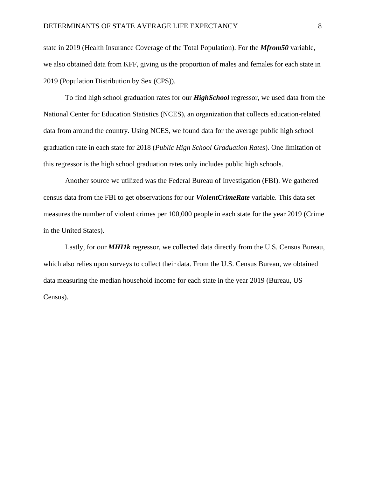state in 2019 (Health Insurance Coverage of the Total Population). For the *Mfrom50* variable, we also obtained data from KFF, giving us the proportion of males and females for each state in 2019 (Population Distribution by Sex (CPS)).

To find high school graduation rates for our *HighSchool* regressor, we used data from the National Center for Education Statistics (NCES), an organization that collects education-related data from around the country. Using NCES, we found data for the average public high school graduation rate in each state for 2018 (*Public High School Graduation Rates*). One limitation of this regressor is the high school graduation rates only includes public high schools.

Another source we utilized was the Federal Bureau of Investigation (FBI). We gathered census data from the FBI to get observations for our *ViolentCrimeRate* variable. This data set measures the number of violent crimes per 100,000 people in each state for the year 2019 (Crime in the United States).

Lastly, for our *MHI1k* regressor, we collected data directly from the U.S. Census Bureau, which also relies upon surveys to collect their data. From the U.S. Census Bureau, we obtained data measuring the median household income for each state in the year 2019 (Bureau, US Census).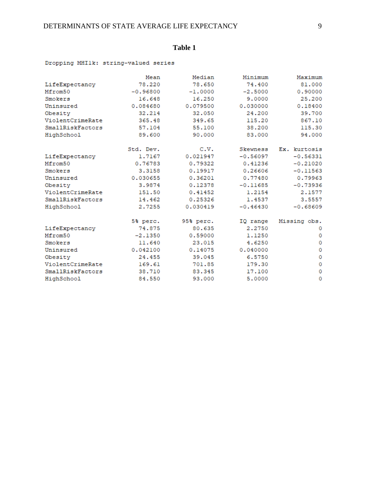## **Table 1**

#### Dropping MHIlk: string-valued series

|                  | Mean       | Median    | Minimum    | Maximum      |  |
|------------------|------------|-----------|------------|--------------|--|
| LifeExpectancy   | 78,220     | 78.650    | 74.400     | 81,000       |  |
| Mfrom50          | $-0.96800$ | $-1.0000$ | $-2.5000$  | 0.90000      |  |
| Smokers          | 16.648     | 16.250    | 9,0000     | 25,200       |  |
| Uninsured        | 0.084680   | 0.079500  | 0.030000   | 0.18400      |  |
| Obesity          | 32.214     | 32.050    | 24,200     | 39,700       |  |
| ViolentCrimeRate | 365.48     | 349.65    | 115.20     | 867.10       |  |
| SmallRiskFactors | 57.104     | 55.100    | 38,200     | 115.30       |  |
| HighSchool       | 89.600     | 90,000    | 83,000     | 94,000       |  |
|                  | Std. Dev.  | C.V.      | Skewness   | Ex. kurtosis |  |
| LifeExpectancy   | 1.7167     | 0.021947  | $-0.56097$ | $-0.56331$   |  |
| Mfrom50          | 0.76783    | 0.79322   | 0.41236    | $-0.21020$   |  |
| Smokers          | 3,3158     | 0.19917   | 0.26606    | $-0.11563$   |  |
| Uninsured        | 0.030655   | 0.36201   | 0.77480    | 0.79963      |  |
| Obesity          | 3.9874     | 0.12378   | $-0.11685$ | $-0.73936$   |  |
| ViolentCrimeRate | 151.50     | 0.41452   | 1.2154     | 2.1577       |  |
| SmallRiskFactors | 14.462     | 0.25326   | 1,4537     | 3.5557       |  |
| HighSchool       | 2.7255     | 0.030419  | $-0.46430$ | $-0.68609$   |  |
|                  | 5% perc.   | 95% perc. | IQ range   | Missing obs. |  |
| LifeExpectancy   | 74.875     | 80.635    | 2,2750     | 0            |  |
| Mfrom50          | $-2.1350$  | 0.59000   | 1,1250     | 0            |  |
| Smokers          | 11.640     | 23.015    | 4.6250     | 0            |  |
| Uninsured        | 0.042100   | 0.14075   | 0.040000   | 0            |  |
| Obesity          | 24.455     | 39.045    | 6.5750     | $\circ$      |  |
| ViolentCrimeRate | 169.61     | 701.85    | 179.30     |              |  |
| SmallRiskFactors | 38.710     | 83.345    | 17,100     | 0            |  |
| HighSchool       | 84.550     | 93,000    | 5,0000     | 0            |  |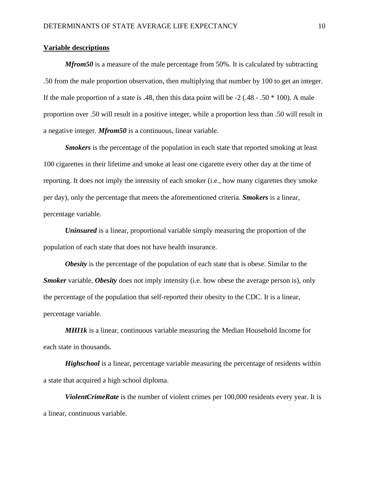#### **Variable descriptions**

*Mfrom50* is a measure of the male percentage from 50%. It is calculated by subtracting .50 from the male proportion observation, then multiplying that number by 100 to get an integer. If the male proportion of a state is .48, then this data point will be  $-2$  (.48 - .50  $*$  100). A male proportion over .50 will result in a positive integer, while a proportion less than .50 will result in a negative integer. *Mfrom50* is a continuous, linear variable.

*Smokers* is the percentage of the population in each state that reported smoking at least 100 cigarettes in their lifetime and smoke at least one cigarette every other day at the time of reporting. It does not imply the intensity of each smoker (i.e., how many cigarettes they smoke per day), only the percentage that meets the aforementioned criteria. *Smokers* is a linear, percentage variable.

*Uninsured* is a linear, proportional variable simply measuring the proportion of the population of each state that does not have health insurance.

*Obesity* is the percentage of the population of each state that is obese. Similar to the *Smoker* variable, *Obesity* does not imply intensity (i.e. how obese the average person is), only the percentage of the population that self-reported their obesity to the CDC. It is a linear, percentage variable.

*MHI1k* is a linear, continuous variable measuring the Median Household Income for each state in thousands.

*Highschool* is a linear, percentage variable measuring the percentage of residents within a state that acquired a high school diploma.

*ViolentCrimeRate* is the number of violent crimes per 100,000 residents every year. It is a linear, continuous variable.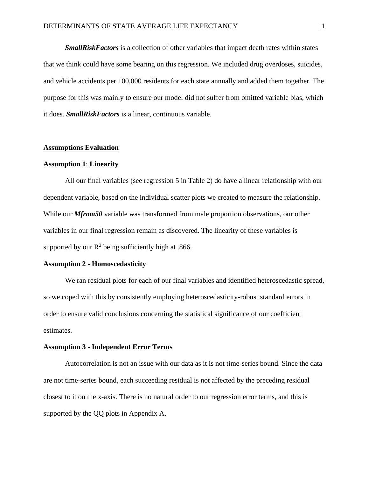*SmallRiskFactors* is a collection of other variables that impact death rates within states that we think could have some bearing on this regression. We included drug overdoses, suicides, and vehicle accidents per 100,000 residents for each state annually and added them together. The purpose for this was mainly to ensure our model did not suffer from omitted variable bias, which it does. *SmallRiskFactors* is a linear, continuous variable.

#### **Assumptions Evaluation**

#### **Assumption 1**: **Linearity**

All our final variables (see regression 5 in Table 2) do have a linear relationship with our dependent variable, based on the individual scatter plots we created to measure the relationship. While our *Mfrom50* variable was transformed from male proportion observations, our other variables in our final regression remain as discovered. The linearity of these variables is supported by our  $R^2$  being sufficiently high at .866.

#### **Assumption 2 - Homoscedasticity**

We ran residual plots for each of our final variables and identified heteroscedastic spread, so we coped with this by consistently employing heteroscedasticity-robust standard errors in order to ensure valid conclusions concerning the statistical significance of our coefficient estimates.

#### **Assumption 3 - Independent Error Terms**

Autocorrelation is not an issue with our data as it is not time-series bound. Since the data are not time-series bound, each succeeding residual is not affected by the preceding residual closest to it on the x-axis. There is no natural order to our regression error terms, and this is supported by the QQ plots in Appendix A.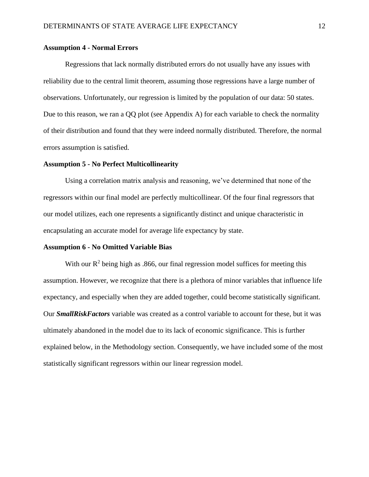#### **Assumption 4 - Normal Errors**

Regressions that lack normally distributed errors do not usually have any issues with reliability due to the central limit theorem, assuming those regressions have a large number of observations. Unfortunately, our regression is limited by the population of our data: 50 states. Due to this reason, we ran a QQ plot (see Appendix A) for each variable to check the normality of their distribution and found that they were indeed normally distributed. Therefore, the normal errors assumption is satisfied.

#### **Assumption 5 - No Perfect Multicollinearity**

Using a correlation matrix analysis and reasoning, we've determined that none of the regressors within our final model are perfectly multicollinear. Of the four final regressors that our model utilizes, each one represents a significantly distinct and unique characteristic in encapsulating an accurate model for average life expectancy by state.

#### **Assumption 6 - No Omitted Variable Bias**

With our  $R^2$  being high as .866, our final regression model suffices for meeting this assumption. However, we recognize that there is a plethora of minor variables that influence life expectancy, and especially when they are added together, could become statistically significant. Our *SmallRiskFactors* variable was created as a control variable to account for these, but it was ultimately abandoned in the model due to its lack of economic significance. This is further explained below, in the Methodology section. Consequently, we have included some of the most statistically significant regressors within our linear regression model.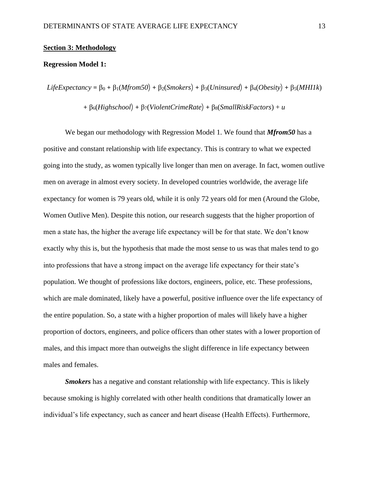#### **Section 3: Methodology**

#### **Regression Model 1:**

```
LifeExpectancy = \beta_0 + \beta_1(Mfrom50) + \beta_2(Smokers) + \beta_3(Uninsured) + \beta_4(Obesity) + \beta_5(MHIIk)
```
 $+ \beta_6(High school) + \beta_7(ViolentCrimeRate) + \beta_8(SmallRiskFactors) + u$ 

We began our methodology with Regression Model 1. We found that *Mfrom50* has a positive and constant relationship with life expectancy. This is contrary to what we expected going into the study, as women typically live longer than men on average. In fact, women outlive men on average in almost every society. In developed countries worldwide, the average life expectancy for women is 79 years old, while it is only 72 years old for men (Around the Globe, Women Outlive Men). Despite this notion, our research suggests that the higher proportion of men a state has, the higher the average life expectancy will be for that state. We don't know exactly why this is, but the hypothesis that made the most sense to us was that males tend to go into professions that have a strong impact on the average life expectancy for their state's population. We thought of professions like doctors, engineers, police, etc. These professions, which are male dominated, likely have a powerful, positive influence over the life expectancy of the entire population. So, a state with a higher proportion of males will likely have a higher proportion of doctors, engineers, and police officers than other states with a lower proportion of males, and this impact more than outweighs the slight difference in life expectancy between males and females.

*Smokers* has a negative and constant relationship with life expectancy. This is likely because smoking is highly correlated with other health conditions that dramatically lower an individual's life expectancy, such as cancer and heart disease (Health Effects). Furthermore,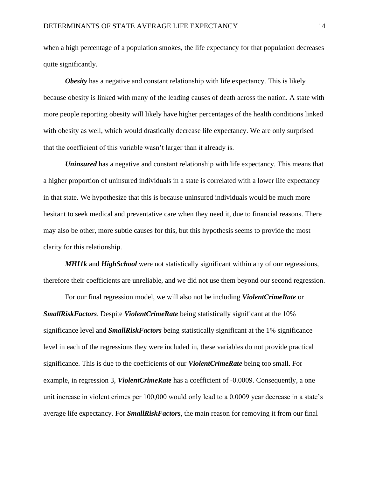when a high percentage of a population smokes, the life expectancy for that population decreases quite significantly.

*Obesity* has a negative and constant relationship with life expectancy. This is likely because obesity is linked with many of the leading causes of death across the nation. A state with more people reporting obesity will likely have higher percentages of the health conditions linked with obesity as well, which would drastically decrease life expectancy. We are only surprised that the coefficient of this variable wasn't larger than it already is.

*Uninsured* has a negative and constant relationship with life expectancy. This means that a higher proportion of uninsured individuals in a state is correlated with a lower life expectancy in that state. We hypothesize that this is because uninsured individuals would be much more hesitant to seek medical and preventative care when they need it, due to financial reasons. There may also be other, more subtle causes for this, but this hypothesis seems to provide the most clarity for this relationship.

*MHI1k* and *HighSchool* were not statistically significant within any of our regressions, therefore their coefficients are unreliable, and we did not use them beyond our second regression.

For our final regression model, we will also not be including *ViolentCrimeRate* or *SmallRiskFactors*. Despite *ViolentCrimeRate* being statistically significant at the 10% significance level and *SmallRiskFactors* being statistically significant at the 1% significance level in each of the regressions they were included in, these variables do not provide practical significance. This is due to the coefficients of our *ViolentCrimeRate* being too small. For example, in regression 3, *ViolentCrimeRate* has a coefficient of -0.0009. Consequently, a one unit increase in violent crimes per 100,000 would only lead to a 0.0009 year decrease in a state's average life expectancy. For *SmallRiskFactors*, the main reason for removing it from our final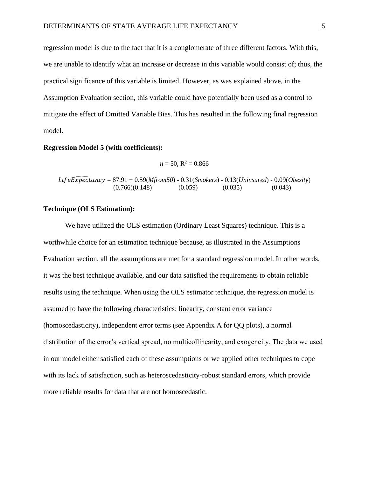regression model is due to the fact that it is a conglomerate of three different factors. With this, we are unable to identify what an increase or decrease in this variable would consist of; thus, the practical significance of this variable is limited. However, as was explained above, in the Assumption Evaluation section, this variable could have potentially been used as a control to mitigate the effect of Omitted Variable Bias. This has resulted in the following final regression model.

#### **Regression Model 5 (with coefficients):**

 $n = 50$ ,  $R^2 = 0.866$ 

 ̂ = 87.91 + 0.59(*Mfrom50*) - 0.31(*Smokers*) - 0.13(*Uninsured*) - 0.09(*Obesity*)  $(0.766)(0.148)$   $(0.059)$   $(0.035)$   $(0.043)$ 

#### **Technique (OLS Estimation):**

We have utilized the OLS estimation (Ordinary Least Squares) technique. This is a worthwhile choice for an estimation technique because, as illustrated in the Assumptions Evaluation section, all the assumptions are met for a standard regression model. In other words, it was the best technique available, and our data satisfied the requirements to obtain reliable results using the technique. When using the OLS estimator technique, the regression model is assumed to have the following characteristics: linearity, constant error variance (homoscedasticity), independent error terms (see Appendix A for QQ plots), a normal distribution of the error's vertical spread, no multicollinearity, and exogeneity. The data we used in our model either satisfied each of these assumptions or we applied other techniques to cope with its lack of satisfaction, such as heteroscedasticity-robust standard errors, which provide more reliable results for data that are not homoscedastic.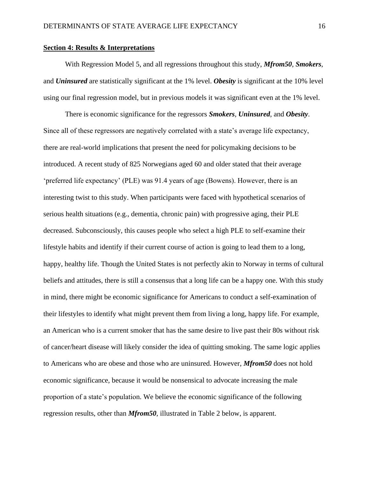#### **Section 4: Results & Interpretations**

With Regression Model 5, and all regressions throughout this study, *Mfrom50*, *Smokers*, and *Uninsured* are statistically significant at the 1% level. *Obesity* is significant at the 10% level using our final regression model, but in previous models it was significant even at the 1% level.

There is economic significance for the regressors *Smokers*, *Uninsured*, and *Obesity*. Since all of these regressors are negatively correlated with a state's average life expectancy, there are real-world implications that present the need for policymaking decisions to be introduced. A recent study of 825 Norwegians aged 60 and older stated that their average 'preferred life expectancy' (PLE) was 91.4 years of age (Bowens). However, there is an interesting twist to this study. When participants were faced with hypothetical scenarios of serious health situations (e.g., dementia, chronic pain) with progressive aging, their PLE decreased. Subconsciously, this causes people who select a high PLE to self-examine their lifestyle habits and identify if their current course of action is going to lead them to a long, happy, healthy life. Though the United States is not perfectly akin to Norway in terms of cultural beliefs and attitudes, there is still a consensus that a long life can be a happy one. With this study in mind, there might be economic significance for Americans to conduct a self-examination of their lifestyles to identify what might prevent them from living a long, happy life. For example, an American who is a current smoker that has the same desire to live past their 80s without risk of cancer/heart disease will likely consider the idea of quitting smoking. The same logic applies to Americans who are obese and those who are uninsured. However, *Mfrom50* does not hold economic significance, because it would be nonsensical to advocate increasing the male proportion of a state's population. We believe the economic significance of the following regression results, other than *Mfrom50*, illustrated in Table 2 below, is apparent.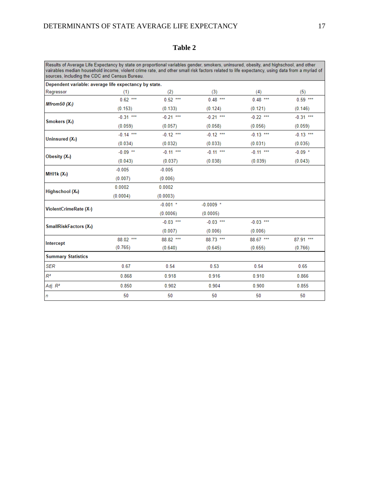| anı |  |
|-----|--|
|-----|--|

Results of Average Life Expectancy by state on proportional variables gender, smokers, uninsured, obesity, and highschool, and other vairables median household income, violent crime rate, and other small risk factors relat

| Dependent variable: average life expectancy by state. |             |             |             |             |             |
|-------------------------------------------------------|-------------|-------------|-------------|-------------|-------------|
| Regressor                                             | (1)         | (2)         | (3)         | (4)         | (5)         |
| Mfrom 50 $(X_i)$                                      | $0.62***$   | $0.52***$   | $0.48***$   | $0.48***$   | $0.59***$   |
|                                                       | (0.153)     | (0.133)     | (0.124)     | (0.121)     | (0.146)     |
| Smokers $(X_2)$                                       | $-0.31$ *** | $-0.21$ *** | $-0.21$ *** | $-0.22$ *** | $-0.31$ *** |
|                                                       | (0.059)     | (0.057)     | (0.058)     | (0.056)     | (0.059)     |
| Uninsured (X <sub>2</sub> )                           | $-0.14$ *** | $-0.12$ *** | $-0.12$ *** | $-0.13$ *** | $-0.13$ *** |
|                                                       | (0.034)     | (0.032)     | (0.033)     | (0.031)     | (0.035)     |
| Obesity (X4)                                          | $-0.09$ **  | $-0.11$ *** | $-0.11$ *** | $-0.11$ *** | $-0.09$ *   |
|                                                       | (0.043)     | (0.037)     | (0.038)     | (0.039)     | (0.043)     |
| MHI1 $k(X_2)$                                         | $-0.005$    | $-0.005$    |             |             |             |
|                                                       | (0.007)     | (0.006)     |             |             |             |
| Highschool (X.)                                       | 0.0002      | 0.0002      |             |             |             |
|                                                       | (0.0004)    | (0.0003)    |             |             |             |
| ViolentCrimeRate (X <sub>7</sub> )                    |             | $-0.001$ *  | $-0.0009$ * |             |             |
|                                                       |             | (0.0006)    | (0.0005)    |             |             |
| <b>SmallRiskFactors (X<sub>s</sub>)</b>               |             | $-0.03$ *** | $-0.03$ *** | $-0.03$ *** |             |
|                                                       |             | (0.007)     | (0.006)     | (0.006)     |             |
| Intercept                                             | 88.02 ***   | 88.82 ***   | 88.73 ***   | 88.67 ***   | 87.91 ***   |
|                                                       | (0.765)     | (0.640)     | (0.645)     | (0.655)     | (0.766)     |
| <b>Summary Statistics</b>                             |             |             |             |             |             |
| <b>SER</b>                                            | 0.67        | 0.54        | 0.53        | 0.54        | 0.65        |
| R2                                                    | 0.868       | 0.918       | 0.916       | 0.910       | 0.866       |
| Adj. R <sup>2</sup>                                   | 0.850       | 0.902       | 0.904       | 0.900       | 0.855       |
| $\sqrt{n}$                                            | 50          | 50          | 50          | 50          | 50          |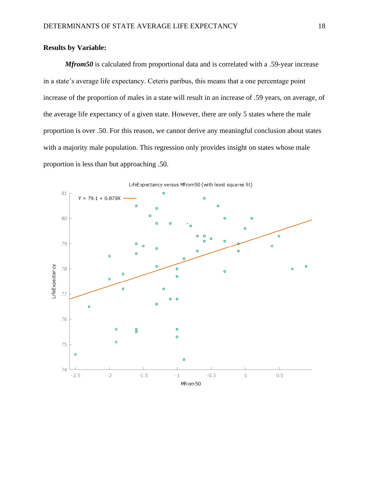### **Results by Variable:**

*Mfrom50* is calculated from proportional data and is correlated with a .59-year increase in a state's average life expectancy. Ceteris paribus, this means that a one percentage point increase of the proportion of males in a state will result in an increase of .59 years, on average, of the average life expectancy of a given state. However, there are only 5 states where the male proportion is over .50. For this reason, we cannot derive any meaningful conclusion about states with a majority male population. This regression only provides insight on states whose male proportion is less than but approaching .50.

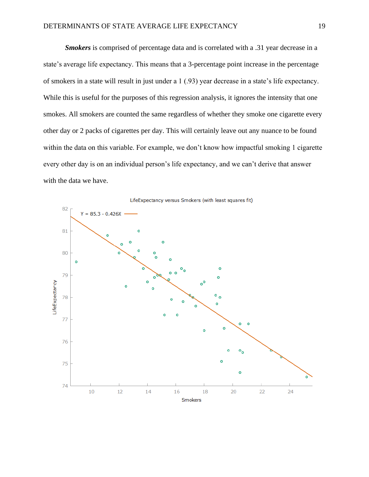*Smokers* is comprised of percentage data and is correlated with a .31 year decrease in a state's average life expectancy. This means that a 3-percentage point increase in the percentage of smokers in a state will result in just under a 1 (.93) year decrease in a state's life expectancy. While this is useful for the purposes of this regression analysis, it ignores the intensity that one smokes. All smokers are counted the same regardless of whether they smoke one cigarette every other day or 2 packs of cigarettes per day. This will certainly leave out any nuance to be found within the data on this variable. For example, we don't know how impactful smoking 1 cigarette every other day is on an individual person's life expectancy, and we can't derive that answer with the data we have.

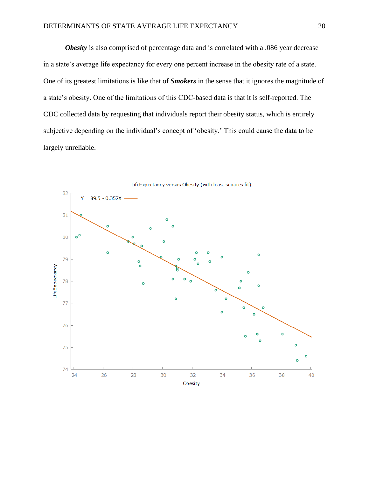*Obesity* is also comprised of percentage data and is correlated with a .086 year decrease in a state's average life expectancy for every one percent increase in the obesity rate of a state. One of its greatest limitations is like that of *Smokers* in the sense that it ignores the magnitude of a state's obesity. One of the limitations of this CDC-based data is that it is self-reported. The CDC collected data by requesting that individuals report their obesity status, which is entirely subjective depending on the individual's concept of 'obesity.' This could cause the data to be largely unreliable.

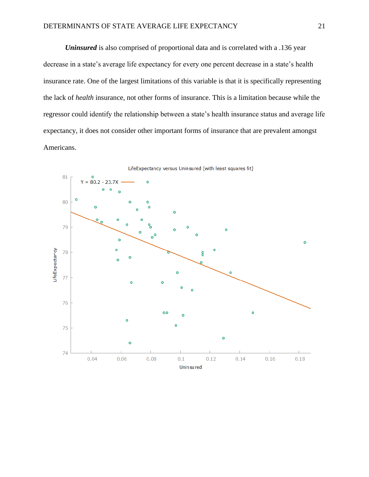*Uninsured* is also comprised of proportional data and is correlated with a .136 year decrease in a state's average life expectancy for every one percent decrease in a state's health insurance rate. One of the largest limitations of this variable is that it is specifically representing the lack of *health* insurance, not other forms of insurance. This is a limitation because while the regressor could identify the relationship between a state's health insurance status and average life expectancy, it does not consider other important forms of insurance that are prevalent amongst Americans.

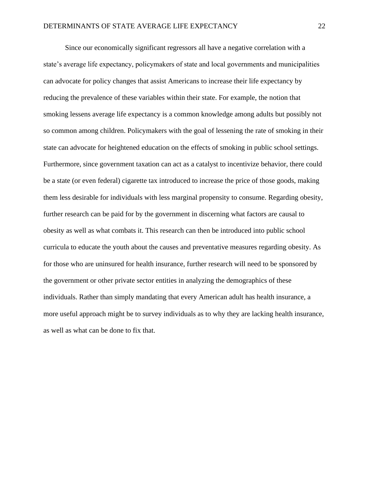Since our economically significant regressors all have a negative correlation with a state's average life expectancy, policymakers of state and local governments and municipalities can advocate for policy changes that assist Americans to increase their life expectancy by reducing the prevalence of these variables within their state. For example, the notion that smoking lessens average life expectancy is a common knowledge among adults but possibly not so common among children. Policymakers with the goal of lessening the rate of smoking in their state can advocate for heightened education on the effects of smoking in public school settings. Furthermore, since government taxation can act as a catalyst to incentivize behavior, there could be a state (or even federal) cigarette tax introduced to increase the price of those goods, making them less desirable for individuals with less marginal propensity to consume. Regarding obesity, further research can be paid for by the government in discerning what factors are causal to obesity as well as what combats it. This research can then be introduced into public school curricula to educate the youth about the causes and preventative measures regarding obesity. As for those who are uninsured for health insurance, further research will need to be sponsored by the government or other private sector entities in analyzing the demographics of these individuals. Rather than simply mandating that every American adult has health insurance, a more useful approach might be to survey individuals as to why they are lacking health insurance, as well as what can be done to fix that.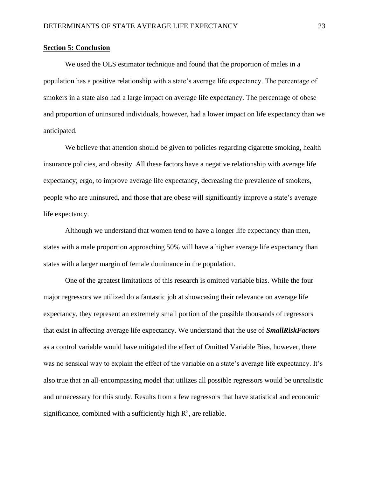#### **Section 5: Conclusion**

We used the OLS estimator technique and found that the proportion of males in a population has a positive relationship with a state's average life expectancy. The percentage of smokers in a state also had a large impact on average life expectancy. The percentage of obese and proportion of uninsured individuals, however, had a lower impact on life expectancy than we anticipated.

We believe that attention should be given to policies regarding cigarette smoking, health insurance policies, and obesity. All these factors have a negative relationship with average life expectancy; ergo, to improve average life expectancy, decreasing the prevalence of smokers, people who are uninsured, and those that are obese will significantly improve a state's average life expectancy.

Although we understand that women tend to have a longer life expectancy than men, states with a male proportion approaching 50% will have a higher average life expectancy than states with a larger margin of female dominance in the population.

One of the greatest limitations of this research is omitted variable bias. While the four major regressors we utilized do a fantastic job at showcasing their relevance on average life expectancy, they represent an extremely small portion of the possible thousands of regressors that exist in affecting average life expectancy. We understand that the use of *SmallRiskFactors* as a control variable would have mitigated the effect of Omitted Variable Bias, however, there was no sensical way to explain the effect of the variable on a state's average life expectancy. It's also true that an all-encompassing model that utilizes all possible regressors would be unrealistic and unnecessary for this study. Results from a few regressors that have statistical and economic significance, combined with a sufficiently high  $\mathbb{R}^2$ , are reliable.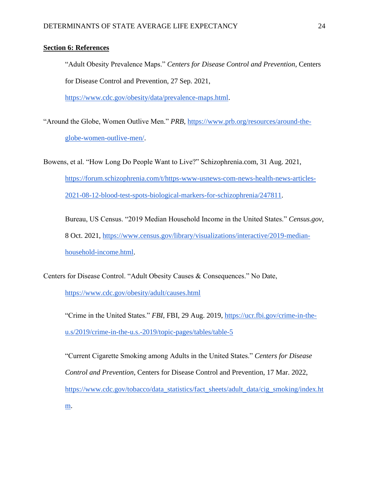#### **Section 6: References**

"Adult Obesity Prevalence Maps." *Centers for Disease Control and Prevention*, Centers for Disease Control and Prevention, 27 Sep. 2021,

[https://www.cdc.gov/obesity/data/prevalence-maps.html.](https://www.cdc.gov/obesity/data/prevalence-maps.html)

"Around the Globe, Women Outlive Men." *PRB*, [https://www.prb.org/resources/around-the](https://www.prb.org/resources/around-the-globe-women-outlive-men/)[globe-women-outlive-men/.](https://www.prb.org/resources/around-the-globe-women-outlive-men/)

Bowens, et al. "How Long Do People Want to Live?" Schizophrenia.com, 31 Aug. 2021, [https://forum.schizophrenia.com/t/https-www-usnews-com-news-health-news-articles-](https://forum.schizophrenia.com/t/https-www-usnews-com-news-health-news-articles-2021-08-12-blood-test-spots-biological-markers-for-schizophrenia/247811)[2021-08-12-blood-test-spots-biological-markers-for-schizophrenia/247811.](https://forum.schizophrenia.com/t/https-www-usnews-com-news-health-news-articles-2021-08-12-blood-test-spots-biological-markers-for-schizophrenia/247811)

Bureau, US Census. "2019 Median Household Income in the United States." *Census.gov*, 8 Oct. 2021, [https://www.census.gov/library/visualizations/interactive/2019-median](https://www.census.gov/library/visualizations/interactive/2019-median-household-income.html)[household-income.html.](https://www.census.gov/library/visualizations/interactive/2019-median-household-income.html)

Centers for Disease Control. "Adult Obesity Causes & Consequences." No Date,

<https://www.cdc.gov/obesity/adult/causes.html>

"Crime in the United States." *FBI*, FBI, 29 Aug. 2019, [https://ucr.fbi.gov/crime-in-the](https://ucr.fbi.gov/crime-in-the-u.s/2019/crime-in-the-u.s.-2019/topic-pages/tables/table-5)[u.s/2019/crime-in-the-u.s.-2019/topic-pages/tables/table-5](https://ucr.fbi.gov/crime-in-the-u.s/2019/crime-in-the-u.s.-2019/topic-pages/tables/table-5)

"Current Cigarette Smoking among Adults in the United States." *Centers for Disease Control and Prevention*, Centers for Disease Control and Prevention, 17 Mar. 2022, [https://www.cdc.gov/tobacco/data\\_statistics/fact\\_sheets/adult\\_data/cig\\_smoking/index.ht](https://www.cdc.gov/tobacco/data_statistics/fact_sheets/adult_data/cig_smoking/index.htm) [m.](https://www.cdc.gov/tobacco/data_statistics/fact_sheets/adult_data/cig_smoking/index.htm)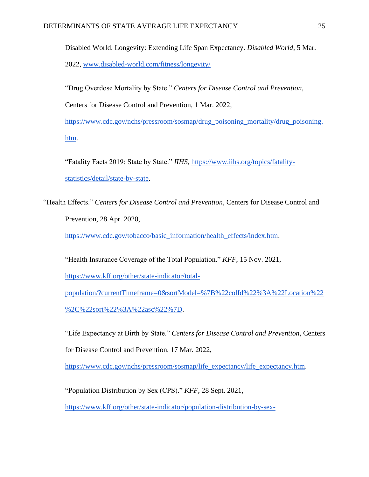Disabled World. Longevity: Extending Life Span Expectancy. *Disabled World*, 5 Mar. 2022, [www.disabled-world.com/fitness/longevity/](http://www.disabled-world.com/fitness/longevity/)

"Drug Overdose Mortality by State." *Centers for Disease Control and Prevention*,

Centers for Disease Control and Prevention, 1 Mar. 2022,

[https://www.cdc.gov/nchs/pressroom/sosmap/drug\\_poisoning\\_mortality/drug\\_poisoning.](https://www.cdc.gov/nchs/pressroom/sosmap/drug_poisoning_mortality/drug_poisoning.htm) [htm.](https://www.cdc.gov/nchs/pressroom/sosmap/drug_poisoning_mortality/drug_poisoning.htm)

"Fatality Facts 2019: State by State." *IIHS*, [https://www.iihs.org/topics/fatality](https://www.iihs.org/topics/fatality-statistics/detail/state-by-state)[statistics/detail/state-by-state.](https://www.iihs.org/topics/fatality-statistics/detail/state-by-state)

"Health Effects." *Centers for Disease Control and Prevention*, Centers for Disease Control and Prevention, 28 Apr. 2020,

[https://www.cdc.gov/tobacco/basic\\_information/health\\_effects/index.htm.](https://www.cdc.gov/tobacco/basic_information/health_effects/index.htm)

"Health Insurance Coverage of the Total Population." *KFF*, 15 Nov. 2021,

[https://www.kff.org/other/state-indicator/total-](https://www.kff.org/other/state-indicator/total-population/?currentTimeframe=0&sortModel=%7B%22colId%22%3A%22Location%22%2C%22sort%22%3A%22asc%22%7D)

[population/?currentTimeframe=0&sortModel=%7B%22colId%22%3A%22Location%22](https://www.kff.org/other/state-indicator/total-population/?currentTimeframe=0&sortModel=%7B%22colId%22%3A%22Location%22%2C%22sort%22%3A%22asc%22%7D) [%2C%22sort%22%3A%22asc%22%7D.](https://www.kff.org/other/state-indicator/total-population/?currentTimeframe=0&sortModel=%7B%22colId%22%3A%22Location%22%2C%22sort%22%3A%22asc%22%7D)

"Life Expectancy at Birth by State." *Centers for Disease Control and Prevention*, Centers for Disease Control and Prevention, 17 Mar. 2022,

[https://www.cdc.gov/nchs/pressroom/sosmap/life\\_expectancy/life\\_expectancy.htm.](https://www.cdc.gov/nchs/pressroom/sosmap/life_expectancy/life_expectancy.htm)

"Population Distribution by Sex (CPS)." *KFF*, 28 Sept. 2021,

[https://www.kff.org/other/state-indicator/population-distribution-by-sex-](https://www.kff.org/other/state-indicator/population-distribution-by-sex-cps/?currentTimeframe=0&sortModel=%7B%22colId%22%3A%22Location%22%2C%22sort%22%3A%22asc%22%7D)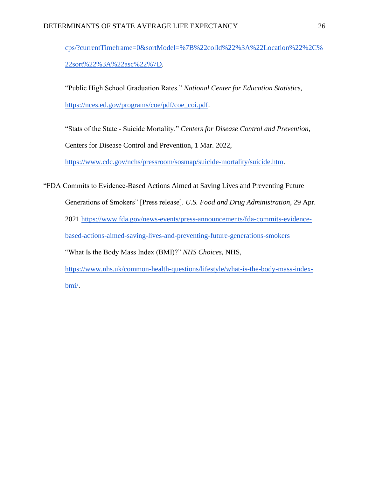[cps/?currentTimeframe=0&sortModel=%7B%22colId%22%3A%22Location%22%2C%](https://www.kff.org/other/state-indicator/population-distribution-by-sex-cps/?currentTimeframe=0&sortModel=%7B%22colId%22%3A%22Location%22%2C%22sort%22%3A%22asc%22%7D) [22sort%22%3A%22asc%22%7D.](https://www.kff.org/other/state-indicator/population-distribution-by-sex-cps/?currentTimeframe=0&sortModel=%7B%22colId%22%3A%22Location%22%2C%22sort%22%3A%22asc%22%7D)

"Public High School Graduation Rates." *National Center for Education Statistics*, [https://nces.ed.gov/programs/coe/pdf/coe\\_coi.pdf.](https://nces.ed.gov/programs/coe/pdf/coe_coi.pdf)

"Stats of the State - Suicide Mortality." *Centers for Disease Control and Prevention*,

Centers for Disease Control and Prevention, 1 Mar. 2022,

[https://www.cdc.gov/nchs/pressroom/sosmap/suicide-mortality/suicide.htm.](https://www.cdc.gov/nchs/pressroom/sosmap/suicide-mortality/suicide.htm)

"FDA Commits to Evidence-Based Actions Aimed at Saving Lives and Preventing Future Generations of Smokers" [Press release]. *U.S. Food and Drug Administration*, 29 Apr. 2021 [https://www.fda.gov/news-events/press-announcements/fda-commits-evidence](https://www.fda.gov/news-events/press-announcements/fda-commits-evidence-based-actions-aimed-saving-lives-and-preventing-future-generations-smokers)[based-actions-aimed-saving-lives-and-preventing-future-generations-smokers](https://www.fda.gov/news-events/press-announcements/fda-commits-evidence-based-actions-aimed-saving-lives-and-preventing-future-generations-smokers) "What Is the Body Mass Index (BMI)?" *NHS Choices*, NHS, [https://www.nhs.uk/common-health-questions/lifestyle/what-is-the-body-mass-index](https://www.nhs.uk/common-health-questions/lifestyle/what-is-the-body-mass-index-bmi/)[bmi/.](https://www.nhs.uk/common-health-questions/lifestyle/what-is-the-body-mass-index-bmi/)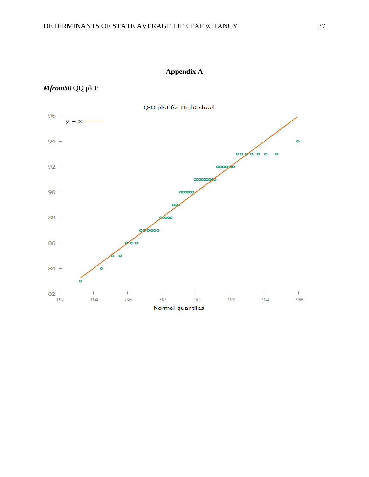# **Appendix A**

## *Mfrom50* QQ plot:

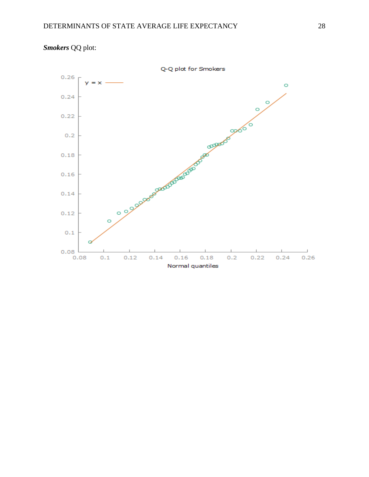

*Smokers* QQ plot: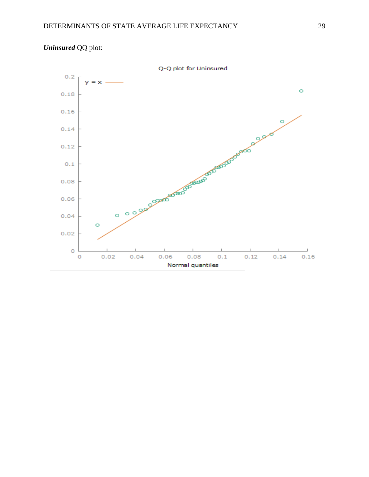

# *Uninsured* QQ plot: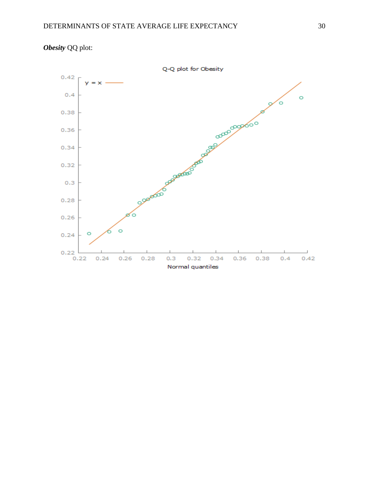

*Obesity* QQ plot: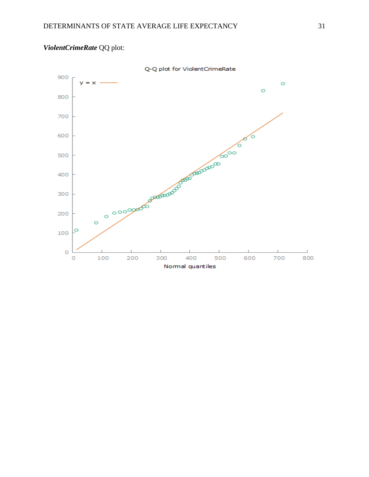

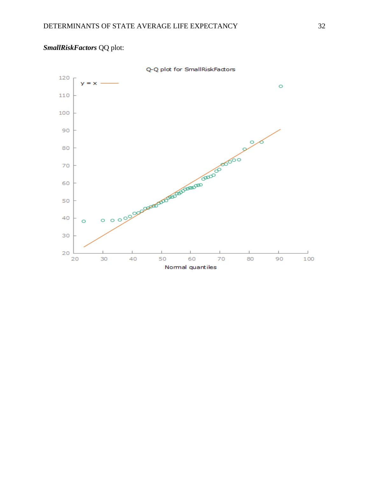# *SmallRiskFactors* QQ plot:

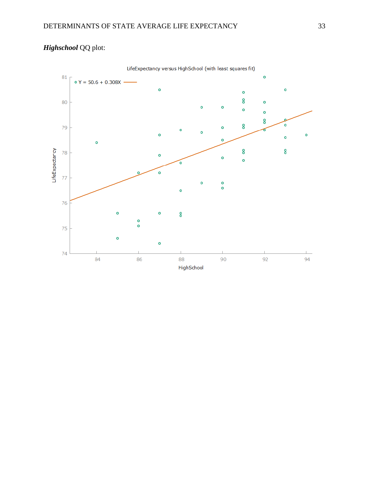